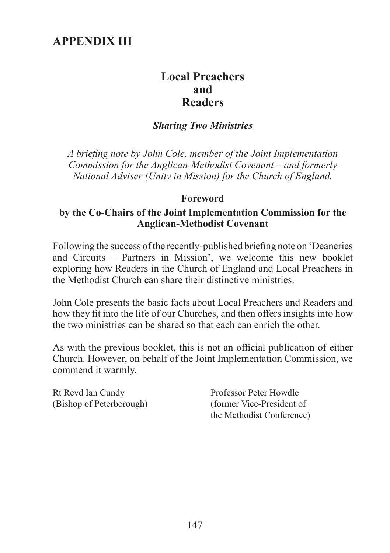# **Appendix iii**

## **Local Preachers and Readers**

#### *Sharing Two Ministries*

*A briefing note by John Cole, member of the Joint Implementation Commission for the Anglican-Methodist Covenant – and formerly National Adviser (Unity in Mission) for the Church of England.*

#### **Foreword**

#### **by the Co-Chairs of the Joint Implementation Commission for the Anglican-Methodist Covenant**

Following the success of the recently-published briefing note on 'Deaneries and Circuits – Partners in Mission', we welcome this new booklet exploring how Readers in the Church of England and Local Preachers in the Methodist Church can share their distinctive ministries.

John Cole presents the basic facts about Local Preachers and Readers and how they fit into the life of our Churches, and then offers insights into how the two ministries can be shared so that each can enrich the other.

As with the previous booklet, this is not an official publication of either Church. However, on behalf of the Joint Implementation Commission, we commend it warmly.

Rt Revd Ian Cundy Professor Peter Howdle

(Bishop of Peterborough) (former Vice-President of the Methodist Conference)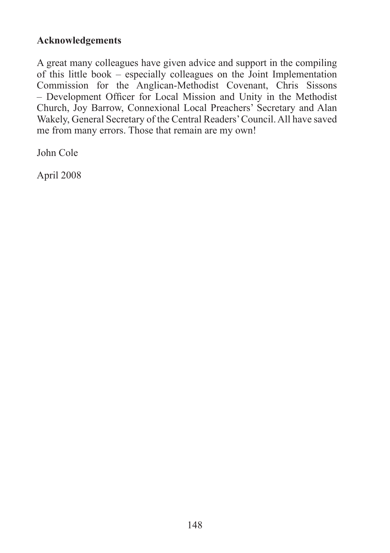### **Acknowledgements**

A great many colleagues have given advice and support in the compiling of this little book – especially colleagues on the Joint Implementation Commission for the Anglican-Methodist Covenant, Chris Sissons – Development Officer for Local Mission and Unity in the Methodist Church, Joy Barrow, Connexional Local Preachers' Secretary and Alan Wakely, General Secretary of the Central Readers' Council. All have saved me from many errors. Those that remain are my own!

John Cole

April 2008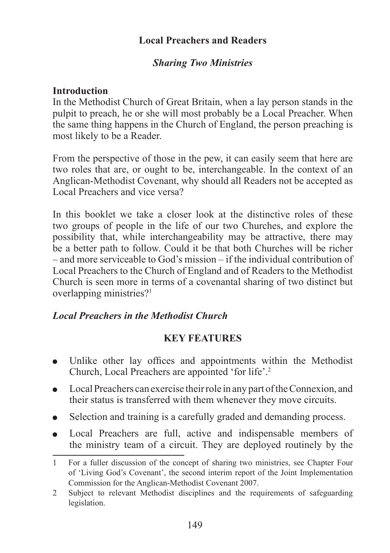#### **Local Preachers and Readers**

#### *Sharing Two Ministries*

#### **Introduction**

In the Methodist Church of Great Britain, when a lay person stands in the pulpit to preach, he or she will most probably be a Local Preacher. When the same thing happens in the Church of England, the person preaching is most likely to be a Reader.

From the perspective of those in the pew, it can easily seem that here are two roles that are, or ought to be, interchangeable. In the context of an Anglican-Methodist Covenant, why should all Readers not be accepted as Local Preachers and vice versa?

In this booklet we take a closer look at the distinctive roles of these two groups of people in the life of our two Churches, and explore the possibility that, while interchangeability may be attractive, there may be a better path to follow. Could it be that both Churches will be richer – and more serviceable to God's mission – if the individual contribution of Local Preachers to the Church of England and of Readers to the Methodist Church is seen more in terms of a covenantal sharing of two distinct but overlapping ministries?

### *Local Preachers in the Methodist Church*

### **KEY FEATURES**

- Unlike other lay offices and appointments within the Methodist Church, Local Preachers are appointed 'for life'.
- $\bullet$ Local Preachers can exercise their role in any part of the Connexion, and their status is transferred with them whenever they move circuits.
- Selection and training is a carefully graded and demanding process.  $\bullet$
- Local Preachers are full, active and indispensable members of  $\bullet$ the ministry team of a circuit. They are deployed routinely by the

For a fuller discussion of the concept of sharing two ministries, see Chapter Four of 'Living God's Covenant', the second interim report of the Joint Implementation Commission for the Anglican-Methodist Covenant 2007.

Subject to relevant Methodist disciplines and the requirements of safeguarding  $\overline{2}$ legislation.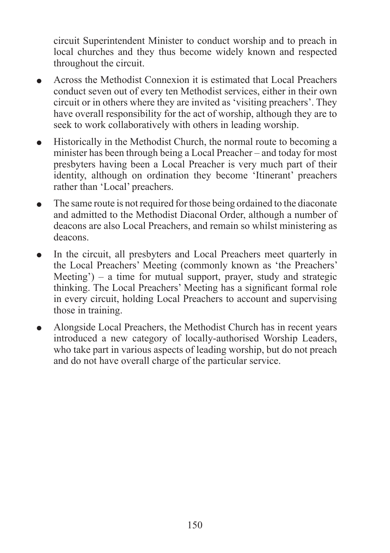circuit Superintendent Minister to conduct worship and to preach in local churches and they thus become widely known and respected throughout the circuit.

- Across the Methodist Connexion it is estimated that Local Preachers  $\bullet$ conduct seven out of every ten Methodist services, either in their own circuit or in others where they are invited as 'visiting preachers'. They have overall responsibility for the act of worship, although they are to seek to work collaboratively with others in leading worship.
- Historically in the Methodist Church, the normal route to becoming a  $\bullet$ minister has been through being a Local Preacher – and today for most presbyters having been a Local Preacher is very much part of their identity, although on ordination they become 'Itinerant' preachers rather than 'Local' preachers.
- The same route is not required for those being ordained to the diaconate  $\bullet$ and admitted to the Methodist Diaconal Order, although a number of deacons are also Local Preachers, and remain so whilst ministering as deacons.
- In the circuit, all presbyters and Local Preachers meet quarterly in the Local Preachers' Meeting (commonly known as 'the Preachers' Meeting') – a time for mutual support, prayer, study and strategic thinking. The Local Preachers' Meeting has a significant formal role in every circuit, holding Local Preachers to account and supervising those in training.
- Alongside Local Preachers, the Methodist Church has in recent years  $\bullet$ introduced a new category of locally-authorised Worship Leaders, who take part in various aspects of leading worship, but do not preach and do not have overall charge of the particular service.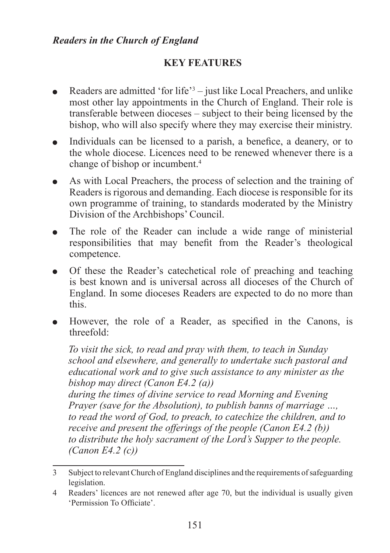#### *Readers in the Church of England*

## **KEY FEATURES**

- Readers are admitted 'for life'<sup>3</sup> just like Local Preachers, and unlike most other lay appointments in the Church of England. Their role is transferable between dioceses – subject to their being licensed by the bishop, who will also specify where they may exercise their ministry.
- Individuals can be licensed to a parish, a benefice, a deanery, or to the whole diocese. Licences need to be renewed whenever there is a change of bishop or incumbent.
- As with Local Preachers, the process of selection and the training of  $\bullet$ Readers is rigorous and demanding. Each diocese is responsible for its own programme of training, to standards moderated by the Ministry Division of the Archbishops' Council.
- The role of the Reader can include a wide range of ministerial  $\bullet$ responsibilities that may benefit from the Reader's theological competence.
- Of these the Reader's catechetical role of preaching and teaching  $\bullet$ is best known and is universal across all dioceses of the Church of England. In some dioceses Readers are expected to do no more than this.
- However, the role of a Reader, as specified in the Canons, is threefold:

*To visit the sick, to read and pray with them, to teach in Sunday school and elsewhere, and generally to undertake such pastoral and educational work and to give such assistance to any minister as the bishop may direct (Canon E4.2 (a)) during the times of divine service to read Morning and Evening Prayer (save for the Absolution), to publish banns of marriage …, to read the word of God, to preach, to catechize the children, and to receive and present the offerings of the people (Canon E4.2 (b)) to distribute the holy sacrament of the Lord's Supper to the people. (Canon E4.2 (c))*

Subject to relevant Church of England disciplines and the requirements of safeguarding legislation.

Readers' licences are not renewed after age 70, but the individual is usually given 'Permission To Officiate'.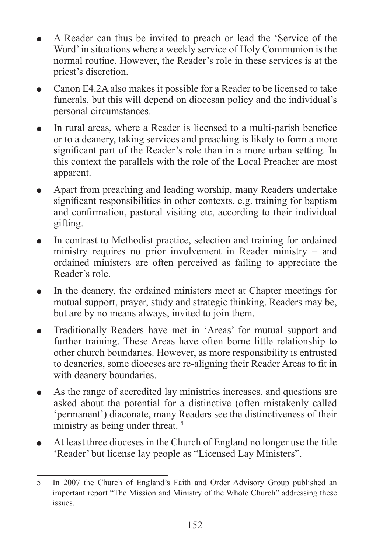- A Reader can thus be invited to preach or lead the 'Service of the Word' in situations where a weekly service of Holy Communion is the normal routine. However, the Reader's role in these services is at the priest's discretion.
- Canon E4.2A also makes it possible for a Reader to be licensed to take  $\bullet$ funerals, but this will depend on diocesan policy and the individual's personal circumstances.
- In rural areas, where a Reader is licensed to a multi-parish benefice  $\bullet$ or to a deanery, taking services and preaching is likely to form a more significant part of the Reader's role than in a more urban setting. In this context the parallels with the role of the Local Preacher are most apparent.
- Apart from preaching and leading worship, many Readers undertake  $\bullet$ significant responsibilities in other contexts, e.g. training for baptism and confirmation, pastoral visiting etc, according to their individual gifting.
- In contrast to Methodist practice, selection and training for ordained  $\bullet$ ministry requires no prior involvement in Reader ministry – and ordained ministers are often perceived as failing to appreciate the Reader's role.
- In the deanery, the ordained ministers meet at Chapter meetings for  $\bullet$ mutual support, prayer, study and strategic thinking. Readers may be, but are by no means always, invited to join them.
- Traditionally Readers have met in 'Areas' for mutual support and  $\bullet$ further training. These Areas have often borne little relationship to other church boundaries. However, as more responsibility is entrusted to deaneries, some dioceses are re-aligning their Reader Areas to fit in with deanery boundaries.
- As the range of accredited lay ministries increases, and questions are  $\bullet$ asked about the potential for a distinctive (often mistakenly called 'permanent') diaconate, many Readers see the distinctiveness of their ministry as being under threat.<sup>5</sup>
- At least three dioceses in the Church of England no longer use the title  $\bullet$ 'Reader' but license lay people as "Licensed Lay Ministers".

In 2007 the Church of England's Faith and Order Advisory Group published an important report "The Mission and Ministry of the Whole Church" addressing these issues.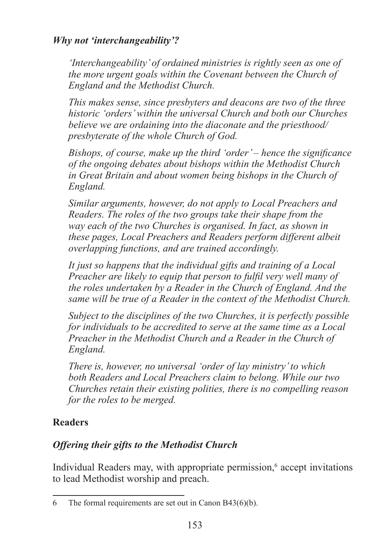### *Why not 'interchangeability'?*

*'Interchangeability' of ordained ministries is rightly seen as one of the more urgent goals within the Covenant between the Church of England and the Methodist Church.*

*This makes sense, since presbyters and deacons are two of the three historic 'orders' within the universal Church and both our Churches believe we are ordaining into the diaconate and the priesthood/ presbyterate of the whole Church of God.*

*Bishops, of course, make up the third 'order' – hence the significance of the ongoing debates about bishops within the Methodist Church in Great Britain and about women being bishops in the Church of England.* 

*Similar arguments, however, do not apply to Local Preachers and Readers. The roles of the two groups take their shape from the way each of the two Churches is organised. In fact, as shown in these pages, Local Preachers and Readers perform different albeit overlapping functions, and are trained accordingly.* 

*It just so happens that the individual gifts and training of a Local Preacher are likely to equip that person to fulfil very well many of the roles undertaken by a Reader in the Church of England. And the same will be true of a Reader in the context of the Methodist Church.*

*Subject to the disciplines of the two Churches, it is perfectly possible for individuals to be accredited to serve at the same time as a Local Preacher in the Methodist Church and a Reader in the Church of England.* 

*There is, however, no universal 'order of lay ministry' to which both Readers and Local Preachers claim to belong. While our two Churches retain their existing polities, there is no compelling reason for the roles to be merged.*

### **Readers**

## *Offering their gifts to the Methodist Church*

Individual Readers may, with appropriate permission, accept invitations to lead Methodist worship and preach.

<sup>6</sup> The formal requirements are set out in Canon B43( $6$ )(b).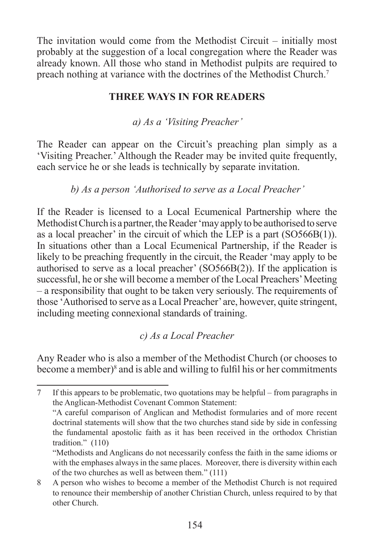The invitation would come from the Methodist Circuit – initially most probably at the suggestion of a local congregation where the Reader was already known. All those who stand in Methodist pulpits are required to preach nothing at variance with the doctrines of the Methodist Church.

#### **THREE WAYS IN FOR READERS**

*a) As a 'Visiting Preacher'*

The Reader can appear on the Circuit's preaching plan simply as a 'Visiting Preacher.' Although the Reader may be invited quite frequently, each service he or she leads is technically by separate invitation.

*b) As a person 'Authorised to serve as a Local Preacher'*

If the Reader is licensed to a Local Ecumenical Partnership where the Methodist Church is a partner, the Reader 'may apply to be authorised to serve as a local preacher' in the circuit of which the LEP is a part (SO566B(1)). In situations other than a Local Ecumenical Partnership, if the Reader is likely to be preaching frequently in the circuit, the Reader 'may apply to be authorised to serve as a local preacher' (SO566B(2)). If the application is successful, he or she will become a member of the Local Preachers' Meeting – a responsibility that ought to be taken very seriously. The requirements of those 'Authorised to serve as a Local Preacher' are, however, quite stringent, including meeting connexional standards of training.

*c) As a Local Preacher* 

Any Reader who is also a member of the Methodist Church (or chooses to become a member) $\delta$  and is able and willing to fulfil his or her commitments

 $\tau$ If this appears to be problematic, two quotations may be helpful – from paragraphs in the Anglican-Methodist Covenant Common Statement:

<sup>&</sup>quot;A careful comparison of Anglican and Methodist formularies and of more recent doctrinal statements will show that the two churches stand side by side in confessing the fundamental apostolic faith as it has been received in the orthodox Christian tradition." (110)

<sup>&</sup>quot;Methodists and Anglicans do not necessarily confess the faith in the same idioms or with the emphases always in the same places. Moreover, there is diversity within each of the two churches as well as between them." (111)

A person who wishes to become a member of the Methodist Church is not required to renounce their membership of another Christian Church, unless required to by that other Church.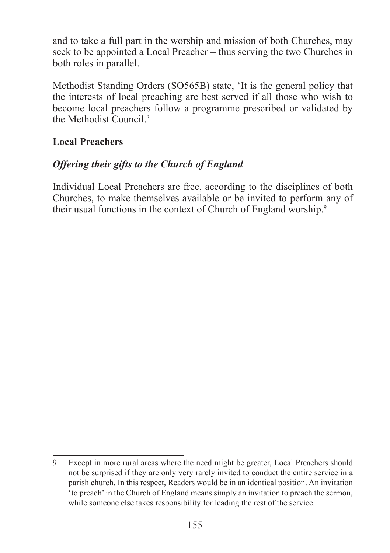and to take a full part in the worship and mission of both Churches, may seek to be appointed a Local Preacher – thus serving the two Churches in both roles in parallel.

Methodist Standing Orders (SO565B) state, 'It is the general policy that the interests of local preaching are best served if all those who wish to become local preachers follow a programme prescribed or validated by the Methodist Council.'

#### **Local Preachers**

### *Offering their gifts to the Church of England*

Individual Local Preachers are free, according to the disciplines of both Churches, to make themselves available or be invited to perform any of their usual functions in the context of Church of England worship.

Except in more rural areas where the need might be greater, Local Preachers should not be surprised if they are only very rarely invited to conduct the entire service in a parish church. In this respect, Readers would be in an identical position. An invitation 'to preach' in the Church of England means simply an invitation to preach the sermon, while someone else takes responsibility for leading the rest of the service.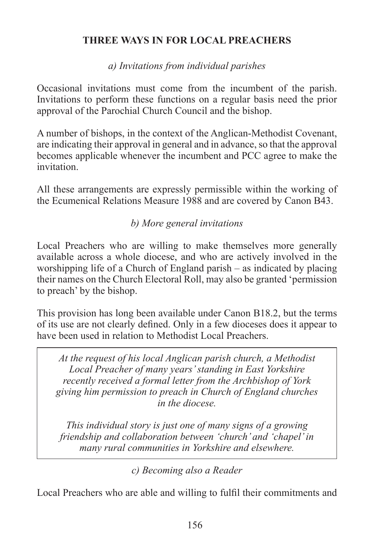### **THREE WAYS IN FOR LOCAL PREACHERS**

*a) Invitations from individual parishes*

Occasional invitations must come from the incumbent of the parish. Invitations to perform these functions on a regular basis need the prior approval of the Parochial Church Council and the bishop.

A number of bishops, in the context of the Anglican-Methodist Covenant, are indicating their approval in general and in advance, so that the approval becomes applicable whenever the incumbent and PCC agree to make the invitation.

All these arrangements are expressly permissible within the working of the Ecumenical Relations Measure 1988 and are covered by Canon B43.

*b) More general invitations*

Local Preachers who are willing to make themselves more generally available across a whole diocese, and who are actively involved in the worshipping life of a Church of England parish – as indicated by placing their names on the Church Electoral Roll, may also be granted 'permission to preach' by the bishop.

This provision has long been available under Canon B18.2, but the terms of its use are not clearly defined. Only in a few dioceses does it appear to have been used in relation to Methodist Local Preachers.

*At the request of his local Anglican parish church, a Methodist Local Preacher of many years' standing in East Yorkshire recently received a formal letter from the Archbishop of York giving him permission to preach in Church of England churches in the diocese.* 

*This individual story is just one of many signs of a growing friendship and collaboration between 'church' and 'chapel' in many rural communities in Yorkshire and elsewhere.*

*c) Becoming also a Reader*

Local Preachers who are able and willing to fulfil their commitments and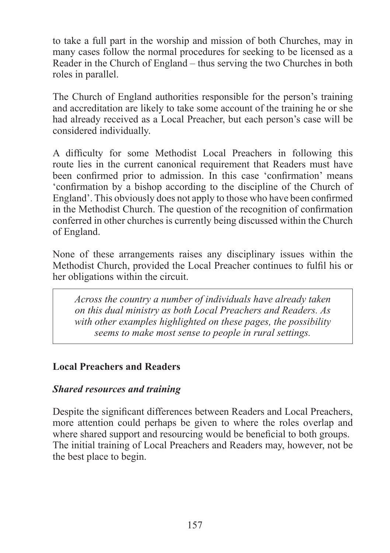to take a full part in the worship and mission of both Churches, may in many cases follow the normal procedures for seeking to be licensed as a Reader in the Church of England – thus serving the two Churches in both roles in parallel.

The Church of England authorities responsible for the person's training and accreditation are likely to take some account of the training he or she had already received as a Local Preacher, but each person's case will be considered individually.

A difficulty for some Methodist Local Preachers in following this route lies in the current canonical requirement that Readers must have been confirmed prior to admission. In this case 'confirmation' means 'confirmation by a bishop according to the discipline of the Church of England'. This obviously does not apply to those who have been confirmed in the Methodist Church. The question of the recognition of confirmation conferred in other churches is currently being discussed within the Church of England.

None of these arrangements raises any disciplinary issues within the Methodist Church, provided the Local Preacher continues to fulfil his or her obligations within the circuit.

*Across the country a number of individuals have already taken on this dual ministry as both Local Preachers and Readers. As with other examples highlighted on these pages, the possibility seems to make most sense to people in rural settings.*

#### **Local Preachers and Readers**

### *Shared resources and training*

Despite the significant differences between Readers and Local Preachers, more attention could perhaps be given to where the roles overlap and where shared support and resourcing would be beneficial to both groups. The initial training of Local Preachers and Readers may, however, not be the best place to begin.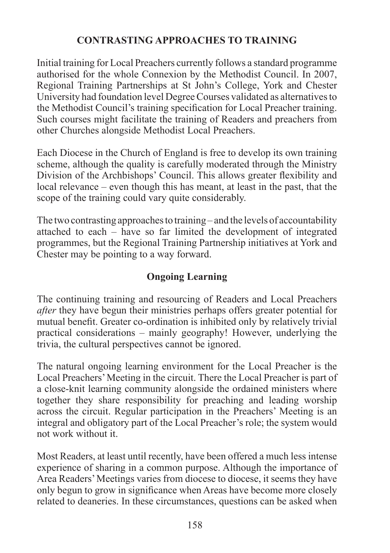### **CONTRASTING APPROACHES TO TRAINING**

Initial training for Local Preachers currently follows a standard programme authorised for the whole Connexion by the Methodist Council. In 2007, Regional Training Partnerships at St John's College, York and Chester University had foundation level Degree Courses validated as alternatives to the Methodist Council's training specification for Local Preacher training. Such courses might facilitate the training of Readers and preachers from other Churches alongside Methodist Local Preachers.

Each Diocese in the Church of England is free to develop its own training scheme, although the quality is carefully moderated through the Ministry Division of the Archbishops' Council. This allows greater flexibility and local relevance – even though this has meant, at least in the past, that the scope of the training could vary quite considerably.

The two contrasting approaches to training – and the levels of accountability attached to each – have so far limited the development of integrated programmes, but the Regional Training Partnership initiatives at York and Chester may be pointing to a way forward.

## **Ongoing Learning**

The continuing training and resourcing of Readers and Local Preachers *after* they have begun their ministries perhaps offers greater potential for mutual benefit. Greater co-ordination is inhibited only by relatively trivial practical considerations – mainly geography! However, underlying the trivia, the cultural perspectives cannot be ignored.

The natural ongoing learning environment for the Local Preacher is the Local Preachers' Meeting in the circuit. There the Local Preacher is part of a close-knit learning community alongside the ordained ministers where together they share responsibility for preaching and leading worship across the circuit. Regular participation in the Preachers' Meeting is an integral and obligatory part of the Local Preacher's role; the system would not work without it.

Most Readers, at least until recently, have been offered a much less intense experience of sharing in a common purpose. Although the importance of Area Readers' Meetings varies from diocese to diocese, it seems they have only begun to grow in significance when Areas have become more closely related to deaneries. In these circumstances, questions can be asked when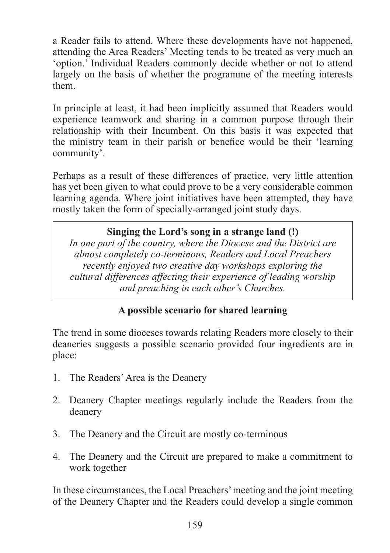a Reader fails to attend. Where these developments have not happened, attending the Area Readers' Meeting tends to be treated as very much an 'option.' Individual Readers commonly decide whether or not to attend largely on the basis of whether the programme of the meeting interests them.

In principle at least, it had been implicitly assumed that Readers would experience teamwork and sharing in a common purpose through their relationship with their Incumbent. On this basis it was expected that the ministry team in their parish or benefice would be their 'learning community'.

Perhaps as a result of these differences of practice, very little attention has yet been given to what could prove to be a very considerable common learning agenda. Where joint initiatives have been attempted, they have mostly taken the form of specially-arranged joint study days.

#### **Singing the Lord's song in a strange land (!)**

*In one part of the country, where the Diocese and the District are almost completely co-terminous, Readers and Local Preachers recently enjoyed two creative day workshops exploring the cultural differences affecting their experience of leading worship and preaching in each other's Churches.*

#### **A possible scenario for shared learning**

The trend in some dioceses towards relating Readers more closely to their deaneries suggests a possible scenario provided four ingredients are in place:

- 1. The Readers' Area is the Deanery
- 2. Deanery Chapter meetings regularly include the Readers from the deanery
- 3. The Deanery and the Circuit are mostly co-terminous
- 4. The Deanery and the Circuit are prepared to make a commitment to work together

In these circumstances, the Local Preachers' meeting and the joint meeting of the Deanery Chapter and the Readers could develop a single common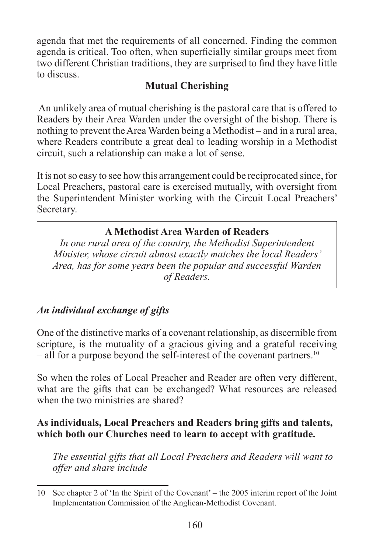agenda that met the requirements of all concerned. Finding the common agenda is critical. Too often, when superficially similar groups meet from two different Christian traditions, they are surprised to find they have little to discuss.

### **Mutual Cherishing**

 An unlikely area of mutual cherishing is the pastoral care that is offered to Readers by their Area Warden under the oversight of the bishop. There is nothing to prevent the Area Warden being a Methodist – and in a rural area, where Readers contribute a great deal to leading worship in a Methodist circuit, such a relationship can make a lot of sense.

It is not so easy to see how this arrangement could be reciprocated since, for Local Preachers, pastoral care is exercised mutually, with oversight from the Superintendent Minister working with the Circuit Local Preachers' Secretary.

### **A Methodist Area Warden of Readers**

*In one rural area of the country, the Methodist Superintendent Minister, whose circuit almost exactly matches the local Readers' Area, has for some years been the popular and successful Warden of Readers.*

## *An individual exchange of gifts*

One of the distinctive marks of a covenant relationship, as discernible from scripture, is the mutuality of a gracious giving and a grateful receiving – all for a purpose beyond the self-interest of the covenant partners.<sup>10</sup>

So when the roles of Local Preacher and Reader are often very different, what are the gifts that can be exchanged? What resources are released when the two ministries are shared?

### **As individuals, Local Preachers and Readers bring gifts and talents, which both our Churches need to learn to accept with gratitude.**

*The essential gifts that all Local Preachers and Readers will want to offer and share include*

<sup>10</sup> See chapter 2 of 'In the Spirit of the Covenant' – the 2005 interim report of the Joint Implementation Commission of the Anglican-Methodist Covenant.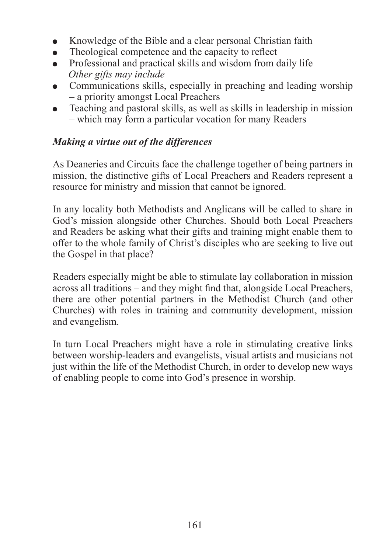- Knowledge of the Bible and a clear personal Christian faith  $\bullet$
- Theological competence and the capacity to reflect
- Professional and practical skills and wisdom from daily life  $\bullet$ *Other gifts may include*
- Communications skills, especially in preaching and leading worship – a priority amongst Local Preachers
- Teaching and pastoral skills, as well as skills in leadership in mission – which may form a particular vocation for many Readers

### *Making a virtue out of the differences*

As Deaneries and Circuits face the challenge together of being partners in mission, the distinctive gifts of Local Preachers and Readers represent a resource for ministry and mission that cannot be ignored.

In any locality both Methodists and Anglicans will be called to share in God's mission alongside other Churches. Should both Local Preachers and Readers be asking what their gifts and training might enable them to offer to the whole family of Christ's disciples who are seeking to live out the Gospel in that place?

Readers especially might be able to stimulate lay collaboration in mission across all traditions – and they might find that, alongside Local Preachers, there are other potential partners in the Methodist Church (and other Churches) with roles in training and community development, mission and evangelism.

In turn Local Preachers might have a role in stimulating creative links between worship-leaders and evangelists, visual artists and musicians not just within the life of the Methodist Church, in order to develop new ways of enabling people to come into God's presence in worship.